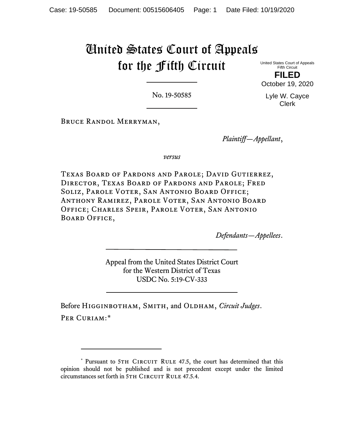## United States Court of Appeals for the Fifth Circuit

United States Court of Appeals Fifth Circuit

**FILED** October 19, 2020

No. 19-50585

Lyle W. Cayce Clerk

Bruce Randol Merryman,

*Plaintiff—Appellant*,

*versus*

Texas Board of Pardons and Parole; David Gutierrez, Director, Texas Board of Pardons and Parole; Fred Soliz, Parole Voter, San Antonio Board Office; Anthony Ramirez, Parole Voter, San Antonio Board Office; Charles Speir, Parole Voter, San Antonio Board Office,

*Defendants—Appellees*.

Appeal from the United States District Court for the Western District of Texas USDC No. 5:19-CV-333

Before Higginbotham, Smith, and Oldham, *Circuit Judges*. PER CURIAM:[\\*](#page-0-0)

<span id="page-0-0"></span><sup>\*</sup> Pursuant to 5TH CIRCUIT RULE 47.5, the court has determined that this opinion should not be published and is not precedent except under the limited circumstances set forth in 5TH CIRCUIT RULE 47.5.4.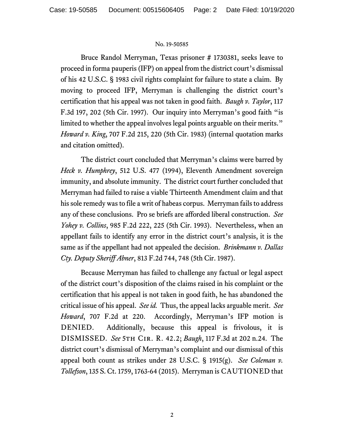## No. 19-50585

Bruce Randol Merryman, Texas prisoner # 1730381, seeks leave to proceed in forma pauperis (IFP) on appeal from the district court's dismissal of his 42 U.S.C. § 1983 civil rights complaint for failure to state a claim. By moving to proceed IFP, Merryman is challenging the district court's certification that his appeal was not taken in good faith. *Baugh v. Taylor*, 117 F.3d 197, 202 (5th Cir. 1997). Our inquiry into Merryman's good faith "is limited to whether the appeal involves legal points arguable on their merits." *Howard v. King*, 707 F.2d 215, 220 (5th Cir. 1983) (internal quotation marks and citation omitted).

The district court concluded that Merryman's claims were barred by *Heck v. Humphrey*, 512 U.S. 477 (1994), Eleventh Amendment sovereign immunity, and absolute immunity. The district court further concluded that Merryman had failed to raise a viable Thirteenth Amendment claim and that his sole remedy was to file a writ of habeas corpus. Merryman fails to address any of these conclusions. Pro se briefs are afforded liberal construction. *See Yohey v. Collins*, 985 F.2d 222, 225 (5th Cir. 1993). Nevertheless, when an appellant fails to identify any error in the district court's analysis, it is the same as if the appellant had not appealed the decision. *Brinkmann v. Dallas Cty. Deputy Sheriff Abner*, 813 F.2d 744, 748 (5th Cir. 1987).

Because Merryman has failed to challenge any factual or legal aspect of the district court's disposition of the claims raised in his complaint or the certification that his appeal is not taken in good faith, he has abandoned the critical issue of his appeal. *See id.* Thus, the appeal lacks arguable merit. *See Howard*, 707 F.2d at 220. Accordingly, Merryman's IFP motion is DENIED. Additionally, because this appeal is frivolous, it is DISMISSED. *See* 5th Cir. R. 42.2; *Baugh*, 117 F.3d at 202 n.24. The district court's dismissal of Merryman's complaint and our dismissal of this appeal both count as strikes under 28 U.S.C. § 1915(g). *See Coleman v. Tollefson*, 135 S. Ct. 1759, 1763-64 (2015). Merryman is CAUTIONED that